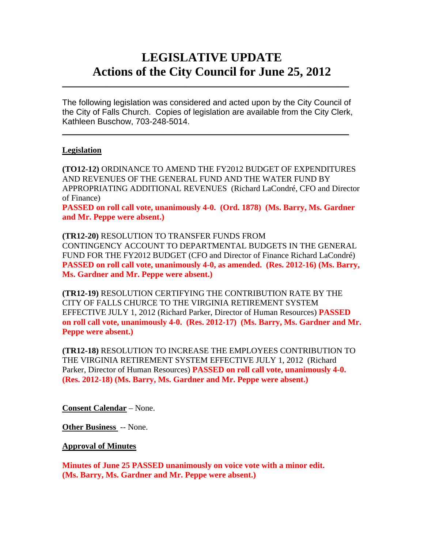# **LEGISLATIVE UPDATE Actions of the City Council for June 25, 2012**

The following legislation was considered and acted upon by the City Council of the City of Falls Church. Copies of legislation are available from the City Clerk, Kathleen Buschow, 703-248-5014.

 $\blacksquare$ 

 $\mathcal{L}_\text{max}$  and  $\mathcal{L}_\text{max}$  and  $\mathcal{L}_\text{max}$  and  $\mathcal{L}_\text{max}$  and  $\mathcal{L}_\text{max}$  and  $\mathcal{L}_\text{max}$ 

### **Legislation**

**(TO12-12)** ORDINANCE TO AMEND THE FY2012 BUDGET OF EXPENDITURES AND REVENUES OF THE GENERAL FUND AND THE WATER FUND BY APPROPRIATING ADDITIONAL REVENUES (Richard LaCondré, CFO and Director of Finance)

**PASSED on roll call vote, unanimously 4-0. (Ord. 1878) (Ms. Barry, Ms. Gardner and Mr. Peppe were absent.)** 

**(TR12-20)** RESOLUTION TO TRANSFER FUNDS FROM CONTINGENCY ACCOUNT TO DEPARTMENTAL BUDGETS IN THE GENERAL FUND FOR THE FY2012 BUDGET (CFO and Director of Finance Richard LaCondré) **PASSED on roll call vote, unanimously 4-0, as amended. (Res. 2012-16) (Ms. Barry, Ms. Gardner and Mr. Peppe were absent.)** 

**(TR12-19)** RESOLUTION CERTIFYING THE CONTRIBUTION RATE BY THE CITY OF FALLS CHURCE TO THE VIRGINIA RETIREMENT SYSTEM EFFECTIVE JULY 1, 2012 (Richard Parker, Director of Human Resources) **PASSED on roll call vote, unanimously 4-0. (Res. 2012-17) (Ms. Barry, Ms. Gardner and Mr. Peppe were absent.)** 

**(TR12-18)** RESOLUTION TO INCREASE THE EMPLOYEES CONTRIBUTION TO THE VIRGINIA RETIREMENT SYSTEM EFFECTIVE JULY 1, 2012 (Richard Parker, Director of Human Resources) **PASSED on roll call vote, unanimously 4-0. (Res. 2012-18) (Ms. Barry, Ms. Gardner and Mr. Peppe were absent.)** 

**Consent Calendar** – None.

**Other Business** -- None.

**Approval of Minutes**

**Minutes of June 25 PASSED unanimously on voice vote with a minor edit. (Ms. Barry, Ms. Gardner and Mr. Peppe were absent.)**